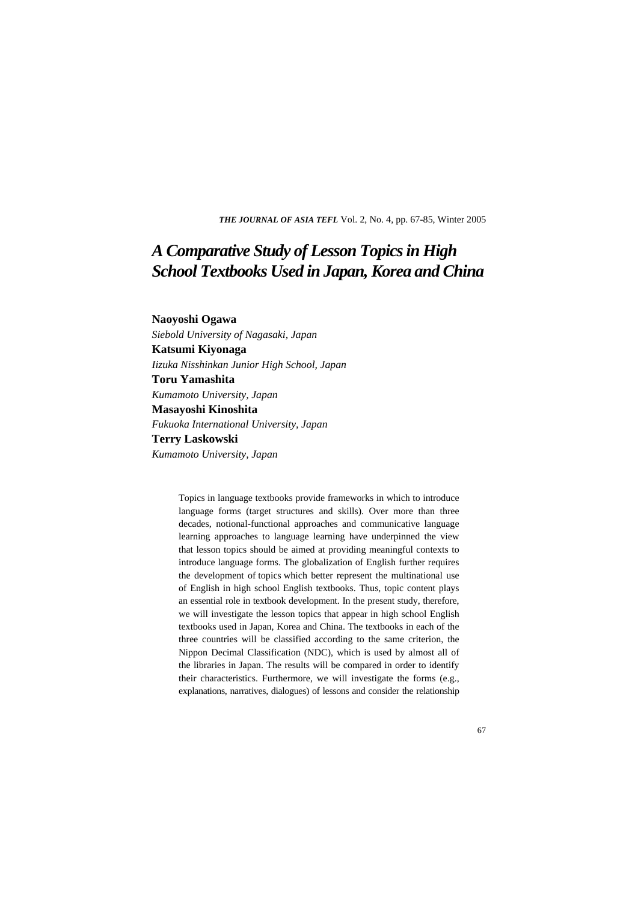*THE JOURNAL OF ASIA TEFL* Vol. 2, No. 4, pp. 67-85, Winter 2005

# *A Comparative Study of Lesson Topics in High School Textbooks Used in Japan, Korea and China*

#### **Naoyoshi Ogawa**

*Siebold University of Nagasaki, Japan*  **Katsumi Kiyonaga**  *Iizuka Nisshinkan Junior High School, Japan*  **Toru Yamashita**  *Kumamoto University, Japan*  **Masayoshi Kinoshita**  *Fukuoka International University, Japan*  **Terry Laskowski**  *Kumamoto University, Japan* 

> Topics in language textbooks provide frameworks in which to introduce language forms (target structures and skills). Over more than three decades, notional-functional approaches and communicative language learning approaches to language learning have underpinned the view that lesson topics should be aimed at providing meaningful contexts to introduce language forms. The globalization of English further requires the development of topics which better represent the multinational use of English in high school English textbooks. Thus, topic content plays an essential role in textbook development. In the present study, therefore, we will investigate the lesson topics that appear in high school English textbooks used in Japan, Korea and China. The textbooks in each of the three countries will be classified according to the same criterion, the Nippon Decimal Classification (NDC), which is used by almost all of the libraries in Japan. The results will be compared in order to identify their characteristics. Furthermore, we will investigate the forms (e.g., explanations, narratives, dialogues) of lessons and consider the relationship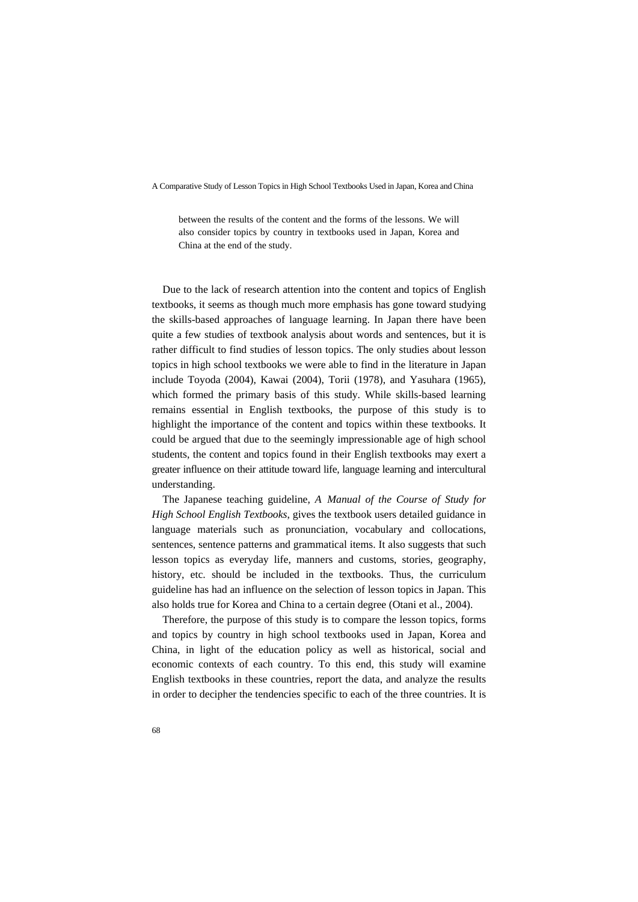between the results of the content and the forms of the lessons. We will also consider topics by country in textbooks used in Japan, Korea and China at the end of the study.

Due to the lack of research attention into the content and topics of English textbooks, it seems as though much more emphasis has gone toward studying the skills-based approaches of language learning. In Japan there have been quite a few studies of textbook analysis about words and sentences, but it is rather difficult to find studies of lesson topics. The only studies about lesson topics in high school textbooks we were able to find in the literature in Japan include Toyoda (2004), Kawai (2004), Torii (1978), and Yasuhara (1965), which formed the primary basis of this study. While skills-based learning remains essential in English textbooks, the purpose of this study is to highlight the importance of the content and topics within these textbooks. It could be argued that due to the seemingly impressionable age of high school students, the content and topics found in their English textbooks may exert a greater influence on their attitude toward life, language learning and intercultural understanding.

The Japanese teaching guideline, *A Manual of the Course of Study for High School English Textbooks*, gives the textbook users detailed guidance in language materials such as pronunciation, vocabulary and collocations, sentences, sentence patterns and grammatical items. It also suggests that such lesson topics as everyday life, manners and customs, stories, geography, history, etc. should be included in the textbooks. Thus, the curriculum guideline has had an influence on the selection of lesson topics in Japan. This also holds true for Korea and China to a certain degree (Otani et al., 2004).

Therefore, the purpose of this study is to compare the lesson topics, forms and topics by country in high school textbooks used in Japan, Korea and China, in light of the education policy as well as historical, social and economic contexts of each country. To this end, this study will examine English textbooks in these countries, report the data, and analyze the results in order to decipher the tendencies specific to each of the three countries. It is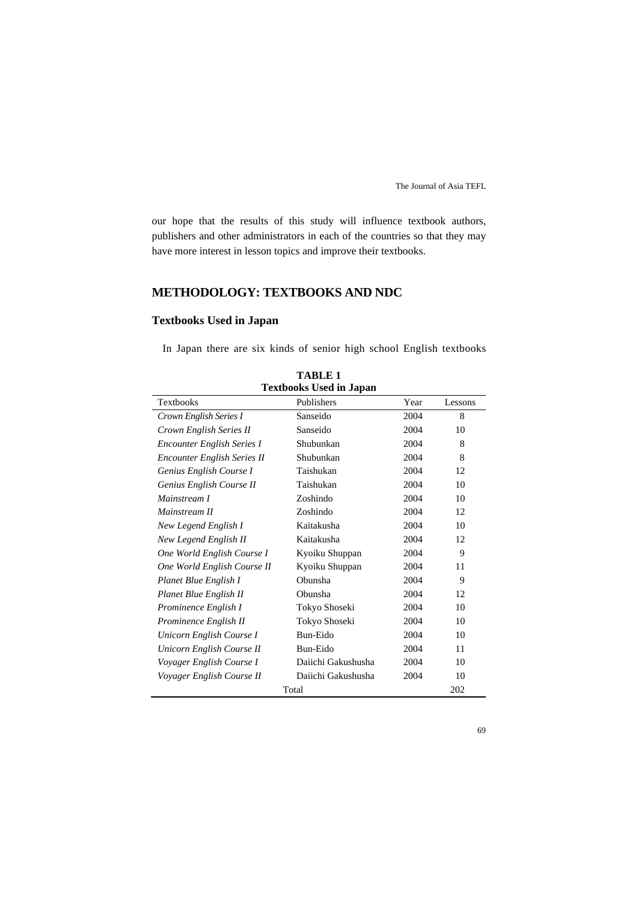our hope that the results of this study will influence textbook authors, publishers and other administrators in each of the countries so that they may have more interest in lesson topics and improve their textbooks.

# **METHODOLOGY: TEXTBOOKS AND NDC**

# **Textbooks Used in Japan**

In Japan there are six kinds of senior high school English textbooks

| теличных обей ні заран             |                    |      |         |  |  |  |  |  |  |  |
|------------------------------------|--------------------|------|---------|--|--|--|--|--|--|--|
| Textbooks                          | Publishers         | Year | Lessons |  |  |  |  |  |  |  |
| Crown English Series I             | Sanseido           | 2004 | 8       |  |  |  |  |  |  |  |
| Crown English Series II            | Sanseido           | 2004 | 10      |  |  |  |  |  |  |  |
| <b>Encounter English Series I</b>  | Shubunkan          | 2004 | 8       |  |  |  |  |  |  |  |
| <b>Encounter English Series II</b> | Shubunkan          | 2004 | 8       |  |  |  |  |  |  |  |
| Genius English Course I            | Taishukan          | 2004 | 12      |  |  |  |  |  |  |  |
| Genius English Course II           | Taishukan          | 2004 | 10      |  |  |  |  |  |  |  |
| Mainstream I                       | Zoshindo           | 2004 | 10      |  |  |  |  |  |  |  |
| Mainstream II                      | Zoshindo           | 2004 | 12      |  |  |  |  |  |  |  |
| New Legend English I               | Kaitakusha         | 2004 | 10      |  |  |  |  |  |  |  |
| New Legend English II              | Kaitakusha         | 2004 | 12      |  |  |  |  |  |  |  |
| One World English Course I         | Kyoiku Shuppan     | 2004 | 9       |  |  |  |  |  |  |  |
| One World English Course II        | Kyoiku Shuppan     | 2004 | 11      |  |  |  |  |  |  |  |
| Planet Blue English I              | Obunsha            | 2004 | 9       |  |  |  |  |  |  |  |
| Planet Blue English II             | Obunsha            | 2004 | 12      |  |  |  |  |  |  |  |
| Prominence English I               | Tokyo Shoseki      | 2004 | 10      |  |  |  |  |  |  |  |
| Prominence English II              | Tokyo Shoseki      | 2004 | 10      |  |  |  |  |  |  |  |
| Unicorn English Course I           | Bun-Eido           | 2004 | 10      |  |  |  |  |  |  |  |
| Unicorn English Course II          | Bun-Eido           | 2004 | 11      |  |  |  |  |  |  |  |
| Voyager English Course I           | Daiichi Gakushusha | 2004 | 10      |  |  |  |  |  |  |  |
| Voyager English Course II          | Daiichi Gakushusha | 2004 | 10      |  |  |  |  |  |  |  |
|                                    | Total              |      | 202     |  |  |  |  |  |  |  |

**TABLE 1 Textbooks Used in Japan**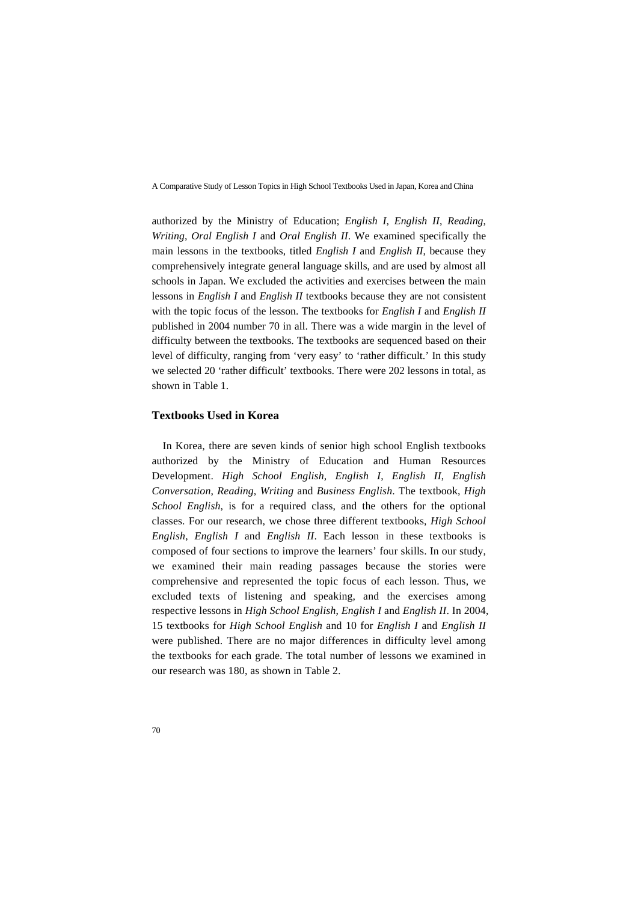authorized by the Ministry of Education; *English I*, *English II*, *Reading*, *Writing*, *Oral English I* and *Oral English II*. We examined specifically the main lessons in the textbooks, titled *English I* and *English II*, because they comprehensively integrate general language skills, and are used by almost all schools in Japan. We excluded the activities and exercises between the main lessons in *English I* and *English II* textbooks because they are not consistent with the topic focus of the lesson. The textbooks for *English I* and *English II* published in 2004 number 70 in all. There was a wide margin in the level of difficulty between the textbooks. The textbooks are sequenced based on their level of difficulty, ranging from 'very easy' to 'rather difficult.' In this study we selected 20 'rather difficult' textbooks. There were 202 lessons in total, as shown in Table 1.

## **Textbooks Used in Korea**

In Korea, there are seven kinds of senior high school English textbooks authorized by the Ministry of Education and Human Resources Development. *High School English, English I*, *English II*, *English Conversation*, *Reading*, *Writing* and *Business English*. The textbook, *High School English*, is for a required class, and the others for the optional classes. For our research, we chose three different textbooks, *High School English*, *English I* and *English II*. Each lesson in these textbooks is composed of four sections to improve the learners' four skills. In our study, we examined their main reading passages because the stories were comprehensive and represented the topic focus of each lesson. Thus, we excluded texts of listening and speaking, and the exercises among respective lessons in *High School English*, *English I* and *English II*. In 2004, 15 textbooks for *High School English* and 10 for *English I* and *English II* were published. There are no major differences in difficulty level among the textbooks for each grade. The total number of lessons we examined in our research was 180, as shown in Table 2.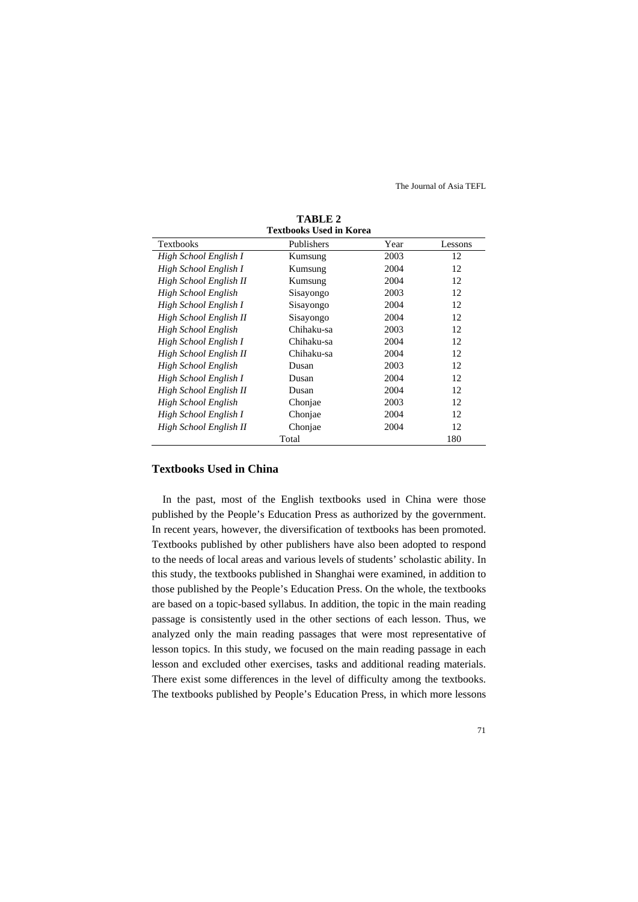|                        | <b>Textbooks Used in Korea</b> |      |         |  |  |  |  |  |  |  |  |
|------------------------|--------------------------------|------|---------|--|--|--|--|--|--|--|--|
| <b>Textbooks</b>       | Publishers                     | Year | Lessons |  |  |  |  |  |  |  |  |
| High School English I  | Kumsung                        | 2003 | 12      |  |  |  |  |  |  |  |  |
| High School English I  | Kumsung                        | 2004 | 12      |  |  |  |  |  |  |  |  |
| High School English II | Kumsung                        | 2004 | 12      |  |  |  |  |  |  |  |  |
| High School English    | Sisayongo                      | 2003 | 12      |  |  |  |  |  |  |  |  |
| High School English I  | Sisayongo                      | 2004 | 12      |  |  |  |  |  |  |  |  |
| High School English II | Sisayongo                      | 2004 | 12      |  |  |  |  |  |  |  |  |
| High School English    | Chihaku-sa                     | 2003 | 12      |  |  |  |  |  |  |  |  |
| High School English I  | Chihaku-sa                     | 2004 | 12      |  |  |  |  |  |  |  |  |
| High School English II | Chihaku-sa                     | 2004 | 12      |  |  |  |  |  |  |  |  |
| High School English    | Dusan                          | 2003 | 12      |  |  |  |  |  |  |  |  |
| High School English I  | Dusan                          | 2004 | 12      |  |  |  |  |  |  |  |  |
| High School English II | Dusan                          | 2004 | 12      |  |  |  |  |  |  |  |  |
| High School English    | Chonjae                        | 2003 | 12      |  |  |  |  |  |  |  |  |
| High School English I  | Chonjae                        | 2004 | 12      |  |  |  |  |  |  |  |  |
| High School English II | Chonjae                        | 2004 | 12      |  |  |  |  |  |  |  |  |
|                        | Total                          |      | 180     |  |  |  |  |  |  |  |  |

**TABLE 2** 

#### **Textbooks Used in China**

In the past, most of the English textbooks used in China were those published by the People's Education Press as authorized by the government. In recent years, however, the diversification of textbooks has been promoted. Textbooks published by other publishers have also been adopted to respond to the needs of local areas and various levels of students' scholastic ability. In this study, the textbooks published in Shanghai were examined, in addition to those published by the People's Education Press. On the whole, the textbooks are based on a topic-based syllabus. In addition, the topic in the main reading passage is consistently used in the other sections of each lesson. Thus, we analyzed only the main reading passages that were most representative of lesson topics. In this study, we focused on the main reading passage in each lesson and excluded other exercises, tasks and additional reading materials. There exist some differences in the level of difficulty among the textbooks. The textbooks published by People's Education Press, in which more lessons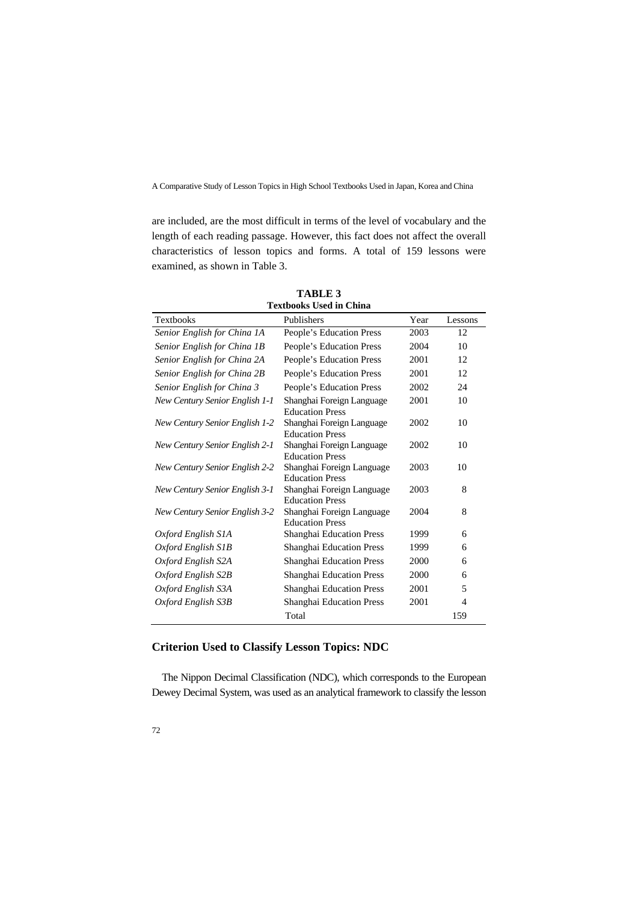are included, are the most difficult in terms of the level of vocabulary and the length of each reading passage. However, this fact does not affect the overall characteristics of lesson topics and forms. A total of 159 lessons were examined, as shown in Table 3.

| техироокѕ Өѕеа пі Спіна               |                                                     |      |         |  |  |  |  |  |  |  |
|---------------------------------------|-----------------------------------------------------|------|---------|--|--|--|--|--|--|--|
| <b>Textbooks</b>                      | Publishers                                          | Year | Lessons |  |  |  |  |  |  |  |
| Senior English for China 1A           | People's Education Press                            | 2003 | 12      |  |  |  |  |  |  |  |
| Senior English for China 1B           | People's Education Press                            | 2004 | 10      |  |  |  |  |  |  |  |
| Senior English for China 2A           | People's Education Press                            | 2001 | 12      |  |  |  |  |  |  |  |
| Senior English for China 2B           | People's Education Press                            | 2001 | 12      |  |  |  |  |  |  |  |
| Senior English for China 3            | People's Education Press                            | 2002 | 24      |  |  |  |  |  |  |  |
| New Century Senior English 1-1        | Shanghai Foreign Language<br><b>Education Press</b> | 2001 | 10      |  |  |  |  |  |  |  |
| New Century Senior English 1-2        | Shanghai Foreign Language<br><b>Education Press</b> | 2002 | 10      |  |  |  |  |  |  |  |
| New Century Senior English 2-1        | Shanghai Foreign Language<br><b>Education Press</b> | 2002 | 10      |  |  |  |  |  |  |  |
| <b>New Century Senior English 2-2</b> | Shanghai Foreign Language<br><b>Education Press</b> | 2003 | 10      |  |  |  |  |  |  |  |
| New Century Senior English 3-1        | Shanghai Foreign Language<br><b>Education Press</b> | 2003 | 8       |  |  |  |  |  |  |  |
| <b>New Century Senior English 3-2</b> | Shanghai Foreign Language<br><b>Education Press</b> | 2004 | 8       |  |  |  |  |  |  |  |
| Oxford English S1A                    | Shanghai Education Press                            | 1999 | 6       |  |  |  |  |  |  |  |
| Oxford English S1B                    | Shanghai Education Press                            | 1999 | 6       |  |  |  |  |  |  |  |
| Oxford English S2A                    | Shanghai Education Press                            | 2000 | 6       |  |  |  |  |  |  |  |
| Oxford English S2B                    | Shanghai Education Press                            | 2000 | 6       |  |  |  |  |  |  |  |
| Oxford English S3A                    | Shanghai Education Press                            | 2001 | 5       |  |  |  |  |  |  |  |
| Oxford English S3B                    | Shanghai Education Press                            | 2001 | 4       |  |  |  |  |  |  |  |
|                                       | Total                                               |      | 159     |  |  |  |  |  |  |  |

**TABLE 3 Textbooks Used in China** 

# **Criterion Used to Classify Lesson Topics: NDC**

The Nippon Decimal Classification (NDC), which corresponds to the European Dewey Decimal System, was used as an analytical framework to classify the lesson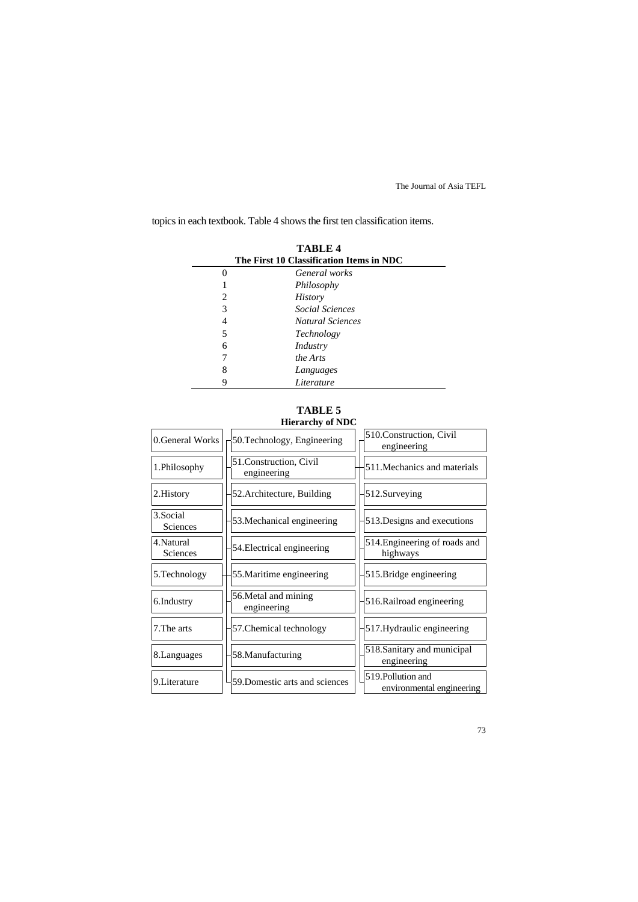topics in each textbook. Table 4 shows the first ten classification items.

| <b>TABLE 4</b><br>The First 10 Classification Items in NDC |                         |  |  |  |  |  |  |  |  |
|------------------------------------------------------------|-------------------------|--|--|--|--|--|--|--|--|
|                                                            | General works           |  |  |  |  |  |  |  |  |
|                                                            | Philosophy              |  |  |  |  |  |  |  |  |
| 2                                                          | <b>History</b>          |  |  |  |  |  |  |  |  |
| 3                                                          | Social Sciences         |  |  |  |  |  |  |  |  |
| 4                                                          | <b>Natural Sciences</b> |  |  |  |  |  |  |  |  |
| 5                                                          | Technology              |  |  |  |  |  |  |  |  |
| 6                                                          | Industry                |  |  |  |  |  |  |  |  |
|                                                            | the Arts                |  |  |  |  |  |  |  |  |
| 8                                                          | Languages               |  |  |  |  |  |  |  |  |
|                                                            | Literature              |  |  |  |  |  |  |  |  |

#### **TABLE 5 Hierarchy of NDC**

|                        | muarury verve                          |                                                 |
|------------------------|----------------------------------------|-------------------------------------------------|
| 0.General Works        | 50. Technology, Engineering            | 510. Construction, Civil<br>engineering         |
| 1.Philosophy           | 51. Construction, Civil<br>engineering | 511. Mechanics and materials                    |
| 2. History             | 52. Architecture, Building             | 512.Surveying                                   |
| 3.Social<br>Sciences   | 53. Mechanical engineering             | 513. Designs and executions                     |
| 4. Natural<br>Sciences | 54. Electrical engineering             | 514. Engineering of roads and<br>highways       |
| 5. Technology          | 55. Maritime engineering               | 515. Bridge engineering                         |
| 6.Industry             | 56. Metal and mining<br>engineering    | 516. Railroad engineering                       |
| 7. The arts            | 57. Chemical technology                | 517. Hydraulic engineering                      |
| 8. Languages           | 58. Manufacturing                      | 518. Sanitary and municipal<br>engineering      |
| 9. Literature          | 59. Domestic arts and sciences         | 519. Pollution and<br>environmental engineering |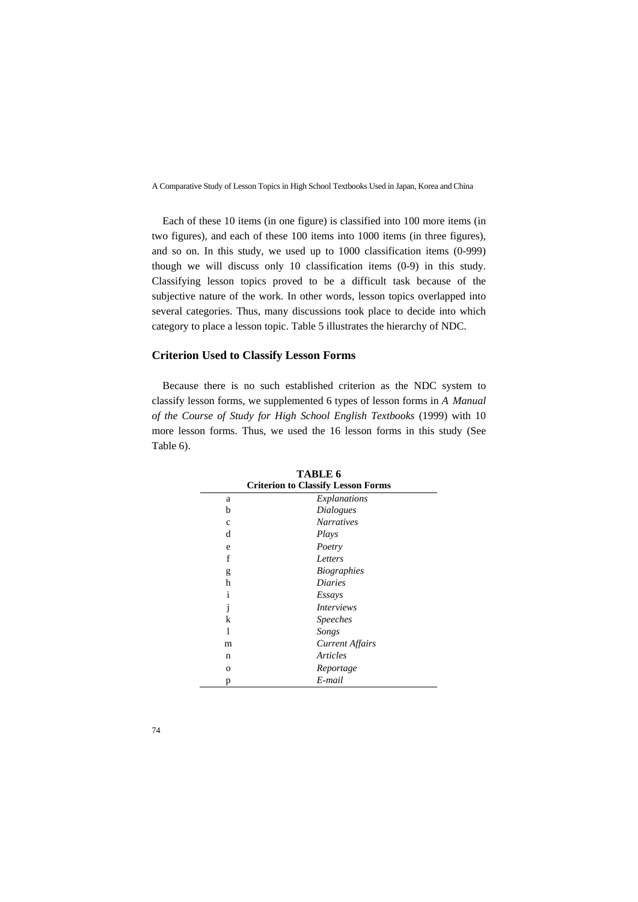Each of these 10 items (in one figure) is classified into 100 more items (in two figures), and each of these 100 items into 1000 items (in three figures), and so on. In this study, we used up to 1000 classification items (0-999) though we will discuss only 10 classification items (0-9) in this study. Classifying lesson topics proved to be a difficult task because of the subjective nature of the work. In other words, lesson topics overlapped into several categories. Thus, many discussions took place to decide into which category to place a lesson topic. Table 5 illustrates the hierarchy of NDC.

## **Criterion Used to Classify Lesson Forms**

Because there is no such established criterion as the NDC system to classify lesson forms, we supplemented 6 types of lesson forms in *A Manual of the Course of Study for High School English Textbooks* (1999) with 10 more lesson forms. Thus, we used the 16 lesson forms in this study (See Table 6).

| <b>Criterion to Classify Lesson Forms</b> |                        |  |  |  |  |  |  |  |
|-------------------------------------------|------------------------|--|--|--|--|--|--|--|
| a                                         | Explanations           |  |  |  |  |  |  |  |
| b                                         | Dialogues              |  |  |  |  |  |  |  |
| c                                         | <b>Narratives</b>      |  |  |  |  |  |  |  |
| d                                         | Plays                  |  |  |  |  |  |  |  |
| e                                         | Poetry                 |  |  |  |  |  |  |  |
| f                                         | Letters                |  |  |  |  |  |  |  |
| g                                         | <i>Biographies</i>     |  |  |  |  |  |  |  |
| h                                         | <i>Diaries</i>         |  |  |  |  |  |  |  |
| $\mathbf{i}$                              | Essays                 |  |  |  |  |  |  |  |
| $\mathbf{1}$                              | <i>Interviews</i>      |  |  |  |  |  |  |  |
| k                                         | <i>Speeches</i>        |  |  |  |  |  |  |  |
| 1                                         | Songs                  |  |  |  |  |  |  |  |
| m                                         | <b>Current Affairs</b> |  |  |  |  |  |  |  |
| n                                         | Articles               |  |  |  |  |  |  |  |
| 0                                         | Reportage              |  |  |  |  |  |  |  |
| p                                         | E-mail                 |  |  |  |  |  |  |  |

**TABLE 6**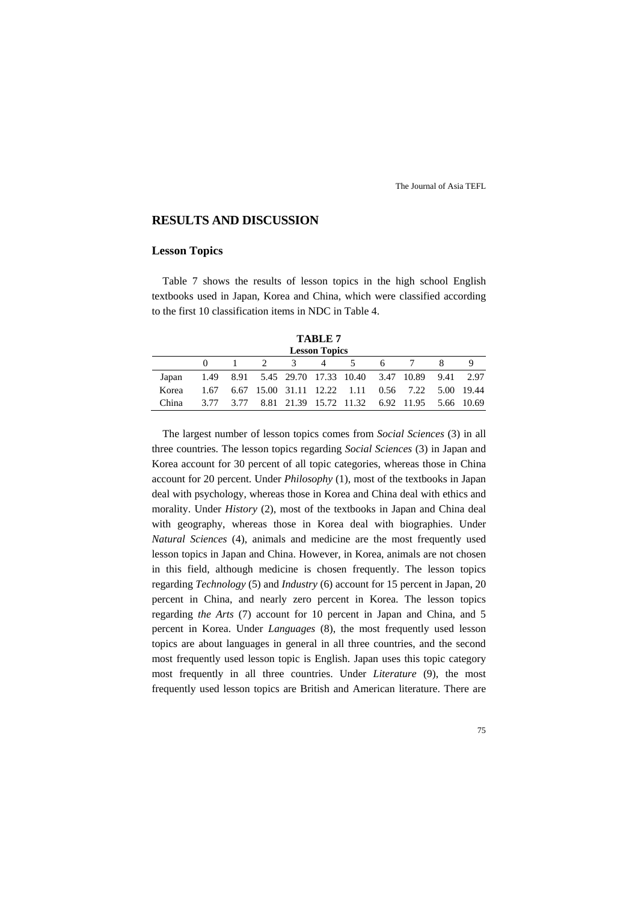## **RESULTS AND DISCUSSION**

#### **Lesson Topics**

Table 7 shows the results of lesson topics in the high school English textbooks used in Japan, Korea and China, which were classified according to the first 10 classification items in NDC in Table 4.

| Π<br>R<br>١I<br>щ. |  |
|--------------------|--|
|                    |  |

|       | <b>Lesson Topics</b> |  |  |  |  |                                                        |  |  |  |  |  |  |  |
|-------|----------------------|--|--|--|--|--------------------------------------------------------|--|--|--|--|--|--|--|
|       |                      |  |  |  |  | $1 \t2 \t3 \t4 \t5 \t6 \t7$                            |  |  |  |  |  |  |  |
| Japan |                      |  |  |  |  | 1.49 8.91 5.45 29.70 17.33 10.40 3.47 10.89 9.41 2.97  |  |  |  |  |  |  |  |
| Korea |                      |  |  |  |  | 1.67 6.67 15.00 31.11 12.22 1.11 0.56 7.22 5.00 19.44  |  |  |  |  |  |  |  |
| China |                      |  |  |  |  | 3.77 3.77 8.81 21.39 15.72 11.32 6.92 11.95 5.66 10.69 |  |  |  |  |  |  |  |

The largest number of lesson topics comes from *Social Sciences* (3) in all three countries. The lesson topics regarding *Social Sciences* (3) in Japan and Korea account for 30 percent of all topic categories, whereas those in China account for 20 percent. Under *Philosophy* (1), most of the textbooks in Japan deal with psychology, whereas those in Korea and China deal with ethics and morality. Under *History* (2), most of the textbooks in Japan and China deal with geography, whereas those in Korea deal with biographies. Under *Natural Sciences* (4), animals and medicine are the most frequently used lesson topics in Japan and China. However, in Korea, animals are not chosen in this field, although medicine is chosen frequently. The lesson topics regarding *Technology* (5) and *Industry* (6) account for 15 percent in Japan, 20 percent in China, and nearly zero percent in Korea. The lesson topics regarding *the Arts* (7) account for 10 percent in Japan and China, and 5 percent in Korea. Under *Languages* (8), the most frequently used lesson topics are about languages in general in all three countries, and the second most frequently used lesson topic is English. Japan uses this topic category most frequently in all three countries. Under *Literature* (9), the most frequently used lesson topics are British and American literature. There are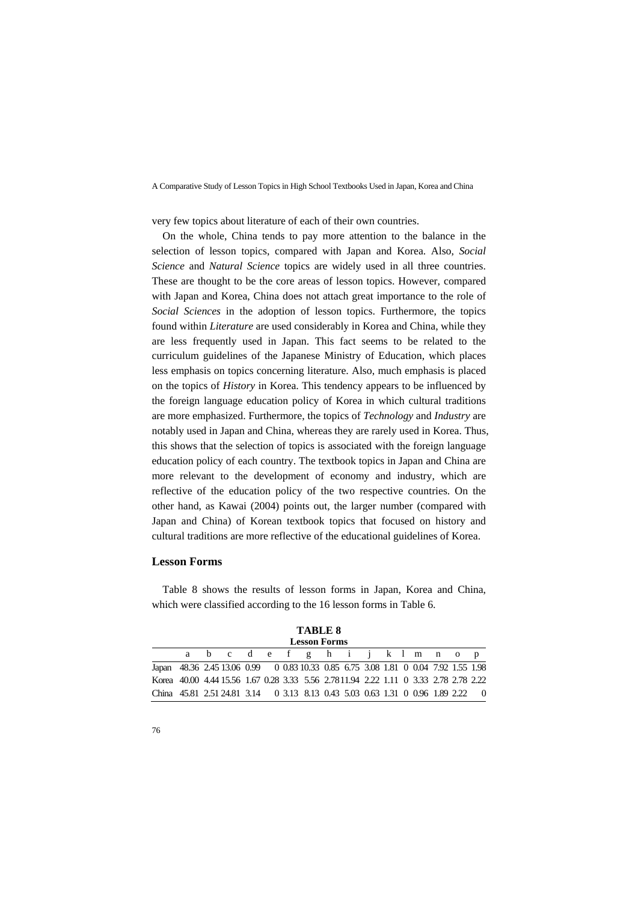very few topics about literature of each of their own countries.

On the whole, China tends to pay more attention to the balance in the selection of lesson topics, compared with Japan and Korea. Also, *Social Science* and *Natural Science* topics are widely used in all three countries. These are thought to be the core areas of lesson topics. However, compared with Japan and Korea, China does not attach great importance to the role of *Social Sciences* in the adoption of lesson topics. Furthermore, the topics found within *Literature* are used considerably in Korea and China, while they are less frequently used in Japan. This fact seems to be related to the curriculum guidelines of the Japanese Ministry of Education, which places less emphasis on topics concerning literature. Also, much emphasis is placed on the topics of *History* in Korea. This tendency appears to be influenced by the foreign language education policy of Korea in which cultural traditions are more emphasized. Furthermore, the topics of *Technology* and *Industry* are notably used in Japan and China, whereas they are rarely used in Korea. Thus, this shows that the selection of topics is associated with the foreign language education policy of each country. The textbook topics in Japan and China are more relevant to the development of economy and industry, which are reflective of the education policy of the two respective countries. On the other hand, as Kawai (2004) points out, the larger number (compared with Japan and China) of Korean textbook topics that focused on history and cultural traditions are more reflective of the educational guidelines of Korea.

#### **Lesson Forms**

Table 8 shows the results of lesson forms in Japan, Korea and China, which were classified according to the 16 lesson forms in Table 6.

|                                                                                       |                     |  |                                 |  |  |  | TADLE 0 |  |  |  |  |  |  |  |  |  |
|---------------------------------------------------------------------------------------|---------------------|--|---------------------------------|--|--|--|---------|--|--|--|--|--|--|--|--|--|
|                                                                                       | <b>Lesson Forms</b> |  |                                 |  |  |  |         |  |  |  |  |  |  |  |  |  |
|                                                                                       |                     |  | a b c d e f g h i j k l m n o p |  |  |  |         |  |  |  |  |  |  |  |  |  |
| Japan 48.36 2.45 13.06 0.99 0 0.83 10.33 0.85 6.75 3.08 1.81 0 0.04 7.92 1.55 1.98    |                     |  |                                 |  |  |  |         |  |  |  |  |  |  |  |  |  |
| Korea 40.00 4.44 15.56 1.67 0.28 3.33 5.56 2.78 11.94 2.22 1.11 0 3.33 2.78 2.78 2.22 |                     |  |                                 |  |  |  |         |  |  |  |  |  |  |  |  |  |
| China 45.81 2.51 24.81 3.14 0 3.13 8.13 0.43 5.03 0.63 1.31 0 0.96 1.89 2.22 0        |                     |  |                                 |  |  |  |         |  |  |  |  |  |  |  |  |  |

**TABLE 8**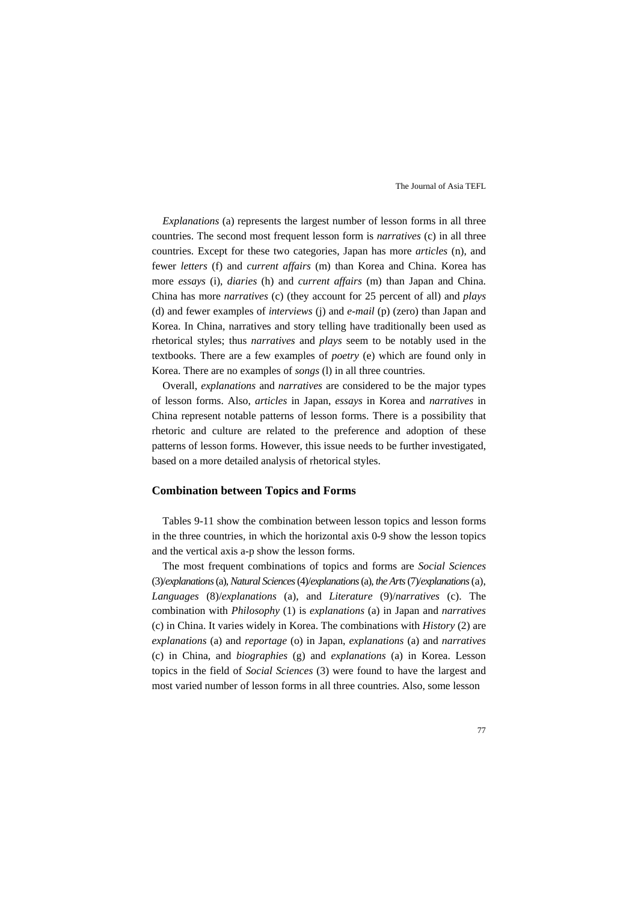*Explanations* (a) represents the largest number of lesson forms in all three countries. The second most frequent lesson form is *narratives* (c) in all three countries. Except for these two categories, Japan has more *articles* (n), and fewer *letters* (f) and *current affairs* (m) than Korea and China. Korea has more *essays* (i), *diaries* (h) and *current affairs* (m) than Japan and China. China has more *narratives* (c) (they account for 25 percent of all) and *plays* (d) and fewer examples of *interviews* (j) and *e-mail* (p) (zero) than Japan and Korea. In China, narratives and story telling have traditionally been used as rhetorical styles; thus *narratives* and *plays* seem to be notably used in the textbooks. There are a few examples of *poetry* (e) which are found only in Korea. There are no examples of *songs* (l) in all three countries.

Overall, *explanations* and *narratives* are considered to be the major types of lesson forms. Also, *articles* in Japan, *essays* in Korea and *narratives* in China represent notable patterns of lesson forms. There is a possibility that rhetoric and culture are related to the preference and adoption of these patterns of lesson forms. However, this issue needs to be further investigated, based on a more detailed analysis of rhetorical styles.

#### **Combination between Topics and Forms**

Tables 9-11 show the combination between lesson topics and lesson forms in the three countries, in which the horizontal axis 0-9 show the lesson topics and the vertical axis a-p show the lesson forms.

The most frequent combinations of topics and forms are *Social Sciences* (3)/*explanations* (a), *Natural Sciences* (4)/*explanations* (a), *the Arts* (7)/*explanations* (a), *Languages* (8)/*explanations* (a), and *Literature* (9)/*narratives* (c). The combination with *Philosophy* (1) is *explanations* (a) in Japan and *narratives* (c) in China. It varies widely in Korea. The combinations with *History* (2) are *explanations* (a) and *reportage* (o) in Japan, *explanations* (a) and *narratives* (c) in China, and *biographies* (g) and *explanations* (a) in Korea. Lesson topics in the field of *Social Sciences* (3) were found to have the largest and most varied number of lesson forms in all three countries. Also, some lesson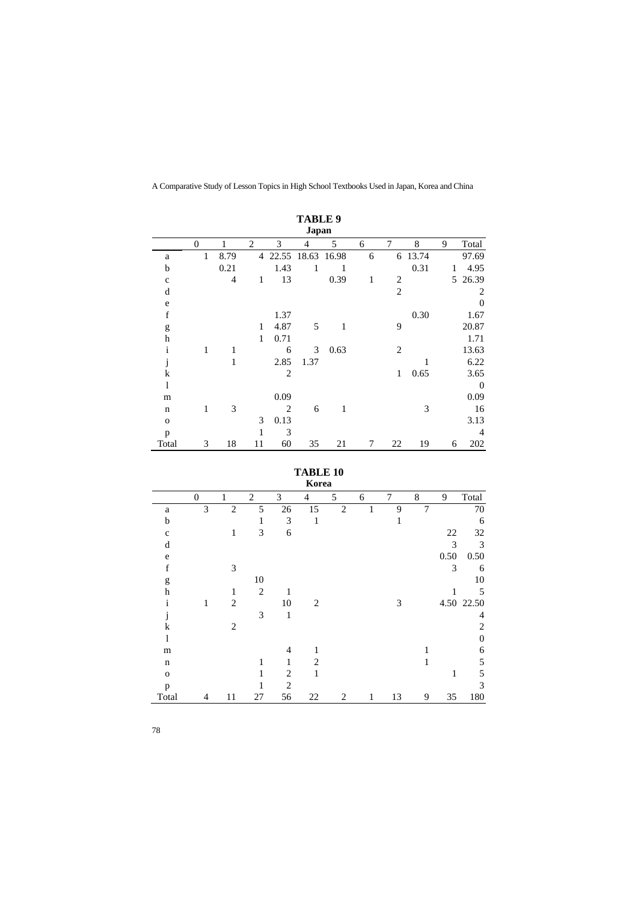|              | <b>TABLE 9</b><br>Japan |                |                |                |      |             |   |                |       |   |                |  |  |
|--------------|-------------------------|----------------|----------------|----------------|------|-------------|---|----------------|-------|---|----------------|--|--|
|              | $\overline{0}$          | 1              | $\overline{2}$ | 3              | 4    | 5           | 6 | 7              | 8     | 9 | Total          |  |  |
| a            | 1                       | 8.79           | 4              | 22.55          |      | 18.63 16.98 | 6 | 6              | 13.74 |   | 97.69          |  |  |
| b            |                         | 0.21           |                | 1.43           | 1    | 1           |   |                | 0.31  | 1 | 4.95           |  |  |
| $\mathbf c$  |                         | $\overline{4}$ | 1              | 13             |      | 0.39        | 1 | 2              |       | 5 | 26.39          |  |  |
| d            |                         |                |                |                |      |             |   | $\overline{2}$ |       |   | 2              |  |  |
| e            |                         |                |                |                |      |             |   |                |       |   | $\theta$       |  |  |
| $\mathbf f$  |                         |                |                | 1.37           |      |             |   |                | 0.30  |   | 1.67           |  |  |
| g            |                         |                | 1              | 4.87           | 5    | 1           |   | 9              |       |   | 20.87          |  |  |
| $\mathbf h$  |                         |                | $\mathbf{1}$   | 0.71           |      |             |   |                |       |   | 1.71           |  |  |
| $\mathbf{i}$ | 1                       | 1              |                | 6              | 3    | 0.63        |   | 2              |       |   | 13.63          |  |  |
| J            |                         | 1              |                | 2.85           | 1.37 |             |   |                | 1     |   | 6.22           |  |  |
| $\bf k$      |                         |                |                | $\overline{c}$ |      |             |   | 1              | 0.65  |   | 3.65           |  |  |
| l            |                         |                |                |                |      |             |   |                |       |   | $\theta$       |  |  |
| m            |                         |                |                | 0.09           |      |             |   |                |       |   | 0.09           |  |  |
| $\mathbf n$  | 1                       | 3              |                | $\overline{c}$ | 6    | 1           |   |                | 3     |   | 16             |  |  |
| $\mathbf{o}$ |                         |                | 3              | 0.13           |      |             |   |                |       |   | 3.13           |  |  |
| p            |                         |                | 1              | 3              |      |             |   |                |       |   | $\overline{4}$ |  |  |
| Total        | 3                       | 18             | 11             | 60             | 35   | 21          | 7 | 22             | 19    | 6 | 202            |  |  |

**TABLE 10** 

|              | Korea        |                |                |                |                |                |   |    |                |      |                |  |
|--------------|--------------|----------------|----------------|----------------|----------------|----------------|---|----|----------------|------|----------------|--|
|              | $\mathbf{0}$ | 1              | $\overline{2}$ | 3              | 4              | 5              | 6 | 7  | 8              | 9    | Total          |  |
| a            | 3            | $\overline{2}$ | 5              | 26             | 15             | $\overline{2}$ |   | 9  | $\overline{7}$ |      | 70             |  |
| b            |              |                | 1              | 3              | 1              |                |   | 1  |                |      | 6              |  |
| $\mathbf{C}$ |              | 1              | 3              | 6              |                |                |   |    |                | 22   | 32             |  |
| d            |              |                |                |                |                |                |   |    |                | 3    | 3              |  |
| e            |              |                |                |                |                |                |   |    |                | 0.50 | 0.50           |  |
| $\mathbf f$  |              | 3              |                |                |                |                |   |    |                | 3    | 6              |  |
| g            |              |                | 10             |                |                |                |   |    |                |      | 10             |  |
| h            |              | 1              | $\overline{2}$ |                |                |                |   |    |                |      | 5              |  |
| 1            | 1            | $\overline{2}$ |                | 10             | 2              |                |   | 3  |                |      | 4.50 22.50     |  |
|              |              |                | 3              | 1              |                |                |   |    |                |      | $\overline{4}$ |  |
| k            |              | $\overline{2}$ |                |                |                |                |   |    |                |      | $\overline{2}$ |  |
| 1            |              |                |                |                |                |                |   |    |                |      | $\overline{0}$ |  |
| m            |              |                |                | 4              | 1              |                |   |    |                |      | 6              |  |
| $\mathbf n$  |              |                | 1              | 1              | $\overline{c}$ |                |   |    |                |      | 5              |  |
| $\mathbf{o}$ |              |                |                | $\overline{c}$ | 1              |                |   |    |                | 1    | 5              |  |
| p            |              |                |                | $\overline{c}$ |                |                |   |    |                |      | 3              |  |
| Total        | 4            | 11             | 27             | 56             | 22             | 2              | 1 | 13 | 9              | 35   | 180            |  |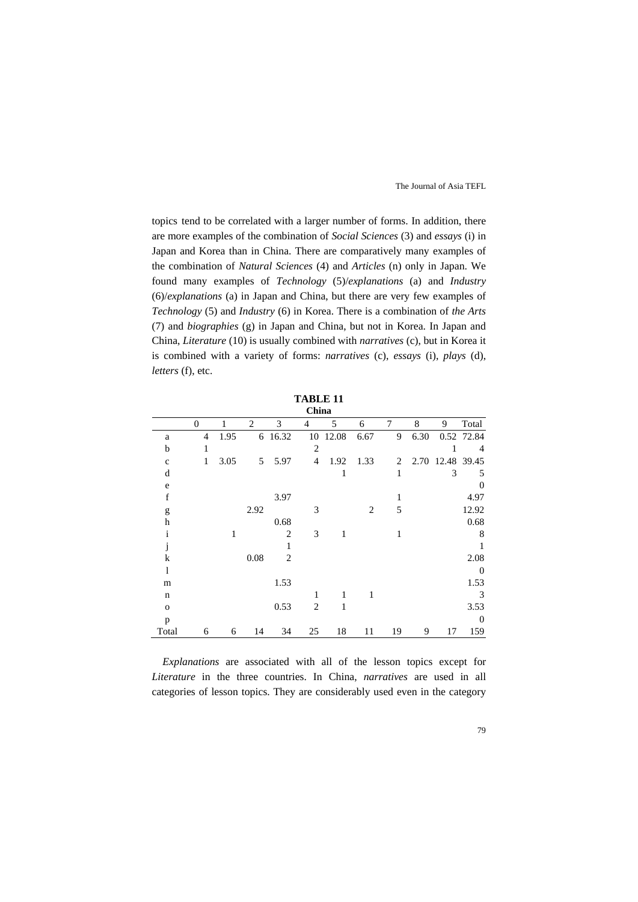topics tend to be correlated with a larger number of forms. In addition, there are more examples of the combination of *Social Sciences* (3) and *essays* (i) in Japan and Korea than in China. There are comparatively many examples of the combination of *Natural Sciences* (4) and *Articles* (n) only in Japan. We found many examples of *Technology* (5)/*explanations* (a) and *Industry* (6)/*explanations* (a) in Japan and China, but there are very few examples of *Technology* (5) and *Industry* (6) in Korea. There is a combination of *the Arts* (7) and *biographies* (g) in Japan and China, but not in Korea. In Japan and China, *Literature* (10) is usually combined with *narratives* (c), but in Korea it is combined with a variety of forms: *narratives* (c), *essays* (i), *plays* (d), *letters* (f), etc.

|              | China          |      |                |                |                |       |                |                |      |       |                |  |  |
|--------------|----------------|------|----------------|----------------|----------------|-------|----------------|----------------|------|-------|----------------|--|--|
|              | $\overline{0}$ | 1    | $\overline{c}$ | 3              | $\overline{4}$ | 5     | 6              | 7              | 8    | 9     | Total          |  |  |
| a            | 4              | 1.95 | 6              | 16.32          | 10             | 12.08 | 6.67           | 9              | 6.30 |       | 0.52 72.84     |  |  |
| b            | 1              |      |                |                | $\overline{2}$ |       |                |                |      |       | $\overline{4}$ |  |  |
| $\mathbf{c}$ | 1              | 3.05 | 5              | 5.97           | $\overline{4}$ | 1.92  | 1.33           | $\overline{c}$ | 2.70 | 12.48 | 39.45          |  |  |
| d            |                |      |                |                |                | 1     |                | 1              |      | 3     | 5              |  |  |
| e            |                |      |                |                |                |       |                |                |      |       | $\theta$       |  |  |
| $\mathbf f$  |                |      |                | 3.97           |                |       |                | 1              |      |       | 4.97           |  |  |
| g            |                |      | 2.92           |                | 3              |       | $\overline{2}$ | 5              |      |       | 12.92          |  |  |
| h            |                |      |                | 0.68           |                |       |                |                |      |       | 0.68           |  |  |
| $\mathbf{i}$ |                | 1    |                | $\overline{2}$ | 3              | 1     |                | 1              |      |       | 8              |  |  |
| J            |                |      |                | 1              |                |       |                |                |      |       | $\mathbf{1}$   |  |  |
| k            |                |      | 0.08           | $\overline{2}$ |                |       |                |                |      |       | 2.08           |  |  |
| 1            |                |      |                |                |                |       |                |                |      |       | $\overline{0}$ |  |  |
| m            |                |      |                | 1.53           |                |       |                |                |      |       | 1.53           |  |  |
| $\mathbf n$  |                |      |                |                |                | 1     | 1              |                |      |       | 3              |  |  |
| $\mathbf{o}$ |                |      |                | 0.53           | $\overline{c}$ | 1     |                |                |      |       | 3.53           |  |  |
| p            |                |      |                |                |                |       |                |                |      |       | $\theta$       |  |  |
| Total        | 6              | 6    | 14             | 34             | 25             | 18    | 11             | 19             | 9    | 17    | 159            |  |  |

*Explanations* are associated with all of the lesson topics except for *Literature* in the three countries. In China, *narratives* are used in all categories of lesson topics. They are considerably used even in the category

**TABLE 11**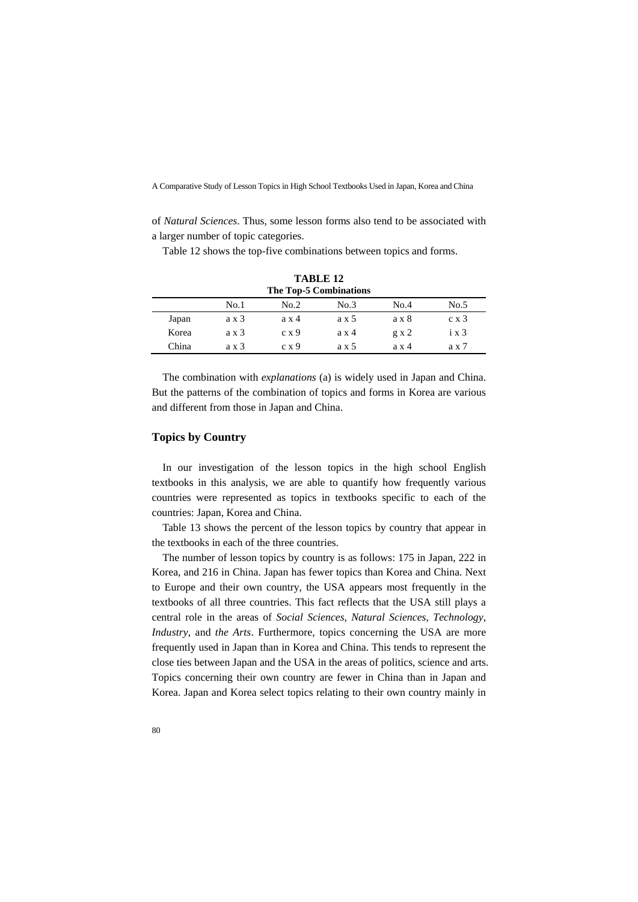of *Natural Sciences*. Thus, some lesson forms also tend to be associated with a larger number of topic categories.

Table 12 shows the top-five combinations between topics and forms.

|       | TABLE 12<br>The Top-5 Combinations |              |       |      |       |  |  |
|-------|------------------------------------|--------------|-------|------|-------|--|--|
|       | No.1                               | No.2         | No.3  | No.4 | No.5  |  |  |
| Japan | ax3                                | ax4          | ax 5  | ax8  | c x 3 |  |  |
| Korea | ax3                                | c x 9        | ax4   | gx2  | ix3   |  |  |
| China | ax3                                | $c \times 9$ | a x 5 | ax4  | ax7   |  |  |

The combination with *explanations* (a) is widely used in Japan and China. But the patterns of the combination of topics and forms in Korea are various and different from those in Japan and China.

#### **Topics by Country**

In our investigation of the lesson topics in the high school English textbooks in this analysis, we are able to quantify how frequently various countries were represented as topics in textbooks specific to each of the countries: Japan, Korea and China.

Table 13 shows the percent of the lesson topics by country that appear in the textbooks in each of the three countries.

The number of lesson topics by country is as follows: 175 in Japan, 222 in Korea, and 216 in China. Japan has fewer topics than Korea and China. Next to Europe and their own country, the USA appears most frequently in the textbooks of all three countries. This fact reflects that the USA still plays a central role in the areas of *Social Sciences*, *Natural Sciences*, *Technology*, *Industry*, and *the Arts*. Furthermore, topics concerning the USA are more frequently used in Japan than in Korea and China. This tends to represent the close ties between Japan and the USA in the areas of politics, science and arts. Topics concerning their own country are fewer in China than in Japan and Korea. Japan and Korea select topics relating to their own country mainly in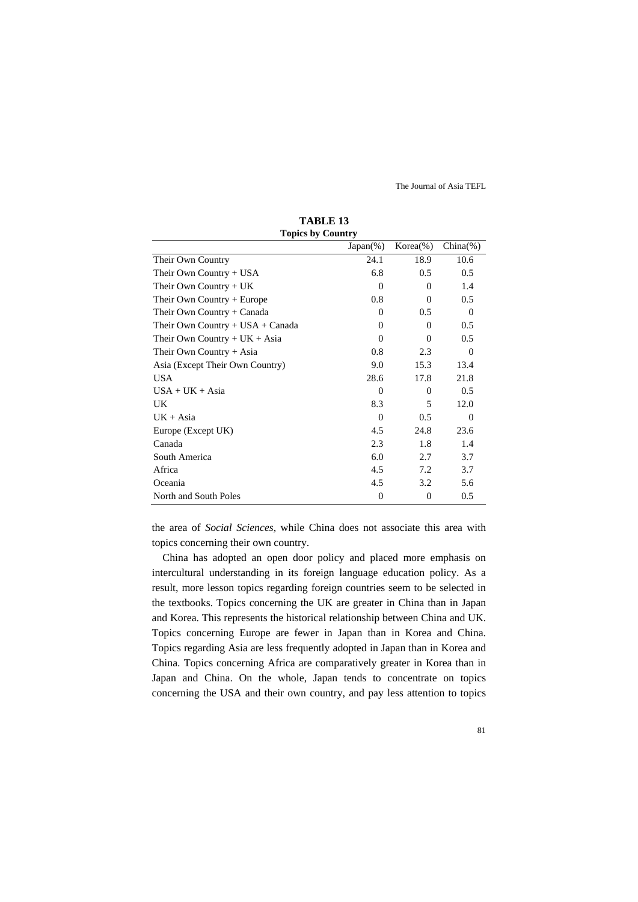| $\mathbf{L}$ opics $\mathbf{v}_J$ country |              |                |          |  |  |  |
|-------------------------------------------|--------------|----------------|----------|--|--|--|
|                                           | $Japan(\%)$  | $Korea(\%)$    | China(%) |  |  |  |
| Their Own Country                         | 24.1         | 18.9           | 10.6     |  |  |  |
| Their Own Country + USA                   | 6.8          | 0.5            | 0.5      |  |  |  |
| Their Own Country $+ UK$                  | $\Omega$     | $\Omega$       | 1.4      |  |  |  |
| Their Own Country + Europe                | 0.8          | $\theta$       | 0.5      |  |  |  |
| Their Own Country + Canada                | $\Omega$     | 0.5            | $\Omega$ |  |  |  |
| Their Own Country + USA + Canada          | $\Omega$     | $\Omega$       | 0.5      |  |  |  |
| Their Own Country + $UK + Asia$           | $\Omega$     | $\Omega$       | 0.5      |  |  |  |
| Their Own Country + Asia                  | 0.8          | 2.3            | $\Omega$ |  |  |  |
| Asia (Except Their Own Country)           | 9.0          | 15.3           | 13.4     |  |  |  |
| <b>USA</b>                                | 28.6         | 17.8           | 21.8     |  |  |  |
| $USA + UK + Asia$                         | $\Omega$     | $\Omega$       | 0.5      |  |  |  |
| UK.                                       | 8.3          | 5              | 12.0     |  |  |  |
| $UK + Asia$                               | $\Omega$     | 0.5            | $\Omega$ |  |  |  |
| Europe (Except UK)                        | 4.5          | 24.8           | 23.6     |  |  |  |
| Canada                                    | 2.3          | 1.8            | 1.4      |  |  |  |
| South America                             | 6.0          | 2.7            | 3.7      |  |  |  |
| Africa                                    | 4.5          | 7.2            | 3.7      |  |  |  |
| Oceania                                   | 4.5          | 3.2            | 5.6      |  |  |  |
| North and South Poles                     | $\mathbf{0}$ | $\overline{0}$ | 0.5      |  |  |  |

**TABLE 13 Topics by Country** 

the area of *Social Sciences,* while China does not associate this area with topics concerning their own country.

China has adopted an open door policy and placed more emphasis on intercultural understanding in its foreign language education policy. As a result, more lesson topics regarding foreign countries seem to be selected in the textbooks. Topics concerning the UK are greater in China than in Japan and Korea. This represents the historical relationship between China and UK. Topics concerning Europe are fewer in Japan than in Korea and China. Topics regarding Asia are less frequently adopted in Japan than in Korea and China. Topics concerning Africa are comparatively greater in Korea than in Japan and China. On the whole, Japan tends to concentrate on topics concerning the USA and their own country, and pay less attention to topics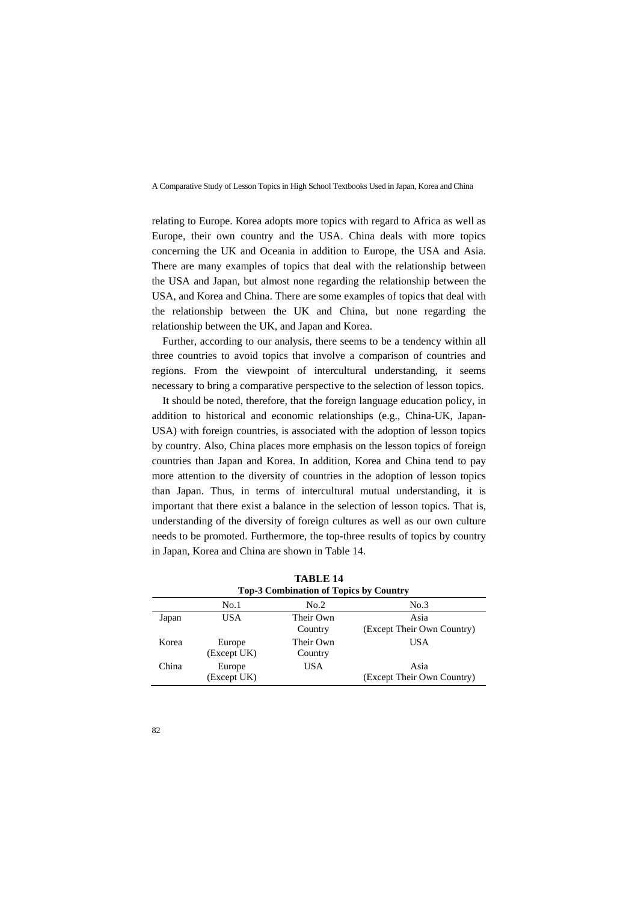relating to Europe. Korea adopts more topics with regard to Africa as well as Europe, their own country and the USA. China deals with more topics concerning the UK and Oceania in addition to Europe, the USA and Asia. There are many examples of topics that deal with the relationship between the USA and Japan, but almost none regarding the relationship between the USA, and Korea and China. There are some examples of topics that deal with the relationship between the UK and China, but none regarding the relationship between the UK, and Japan and Korea.

Further, according to our analysis, there seems to be a tendency within all three countries to avoid topics that involve a comparison of countries and regions. From the viewpoint of intercultural understanding, it seems necessary to bring a comparative perspective to the selection of lesson topics.

It should be noted, therefore, that the foreign language education policy, in addition to historical and economic relationships (e.g., China-UK, Japan-USA) with foreign countries, is associated with the adoption of lesson topics by country. Also, China places more emphasis on the lesson topics of foreign countries than Japan and Korea. In addition, Korea and China tend to pay more attention to the diversity of countries in the adoption of lesson topics than Japan. Thus, in terms of intercultural mutual understanding, it is important that there exist a balance in the selection of lesson topics. That is, understanding of the diversity of foreign cultures as well as our own culture needs to be promoted. Furthermore, the top-three results of topics by country in Japan, Korea and China are shown in Table 14.

| <b>TABLE 14</b><br><b>Top-3 Combination of Topics by Country</b> |                       |                      |                                    |  |  |  |
|------------------------------------------------------------------|-----------------------|----------------------|------------------------------------|--|--|--|
|                                                                  | No.1                  | No.2                 | No.3                               |  |  |  |
| Japan                                                            | USA                   | Their Own<br>Country | Asia<br>(Except Their Own Country) |  |  |  |
| Korea                                                            | Europe<br>(Except UK) | Their Own<br>Country | USA                                |  |  |  |
| China                                                            | Europe<br>(Except UK) | <b>USA</b>           | Asia<br>(Except Their Own Country) |  |  |  |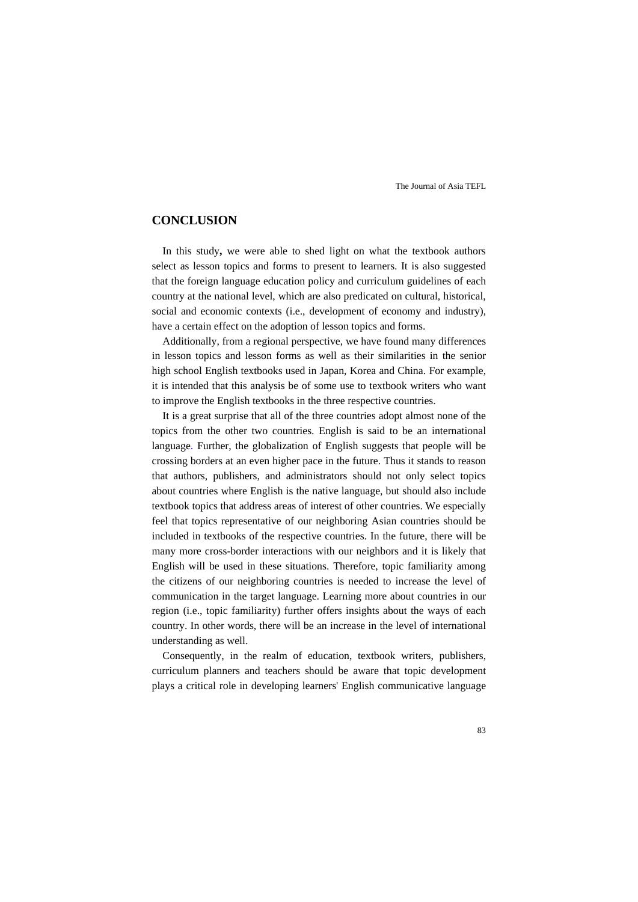## **CONCLUSION**

In this study**,** we were able to shed light on what the textbook authors select as lesson topics and forms to present to learners. It is also suggested that the foreign language education policy and curriculum guidelines of each country at the national level, which are also predicated on cultural, historical, social and economic contexts (i.e., development of economy and industry), have a certain effect on the adoption of lesson topics and forms.

Additionally, from a regional perspective, we have found many differences in lesson topics and lesson forms as well as their similarities in the senior high school English textbooks used in Japan, Korea and China. For example, it is intended that this analysis be of some use to textbook writers who want to improve the English textbooks in the three respective countries.

It is a great surprise that all of the three countries adopt almost none of the topics from the other two countries. English is said to be an international language. Further, the globalization of English suggests that people will be crossing borders at an even higher pace in the future. Thus it stands to reason that authors, publishers, and administrators should not only select topics about countries where English is the native language, but should also include textbook topics that address areas of interest of other countries. We especially feel that topics representative of our neighboring Asian countries should be included in textbooks of the respective countries. In the future, there will be many more cross-border interactions with our neighbors and it is likely that English will be used in these situations. Therefore, topic familiarity among the citizens of our neighboring countries is needed to increase the level of communication in the target language. Learning more about countries in our region (i.e., topic familiarity) further offers insights about the ways of each country. In other words, there will be an increase in the level of international understanding as well.

Consequently, in the realm of education, textbook writers, publishers, curriculum planners and teachers should be aware that topic development plays a critical role in developing learners' English communicative language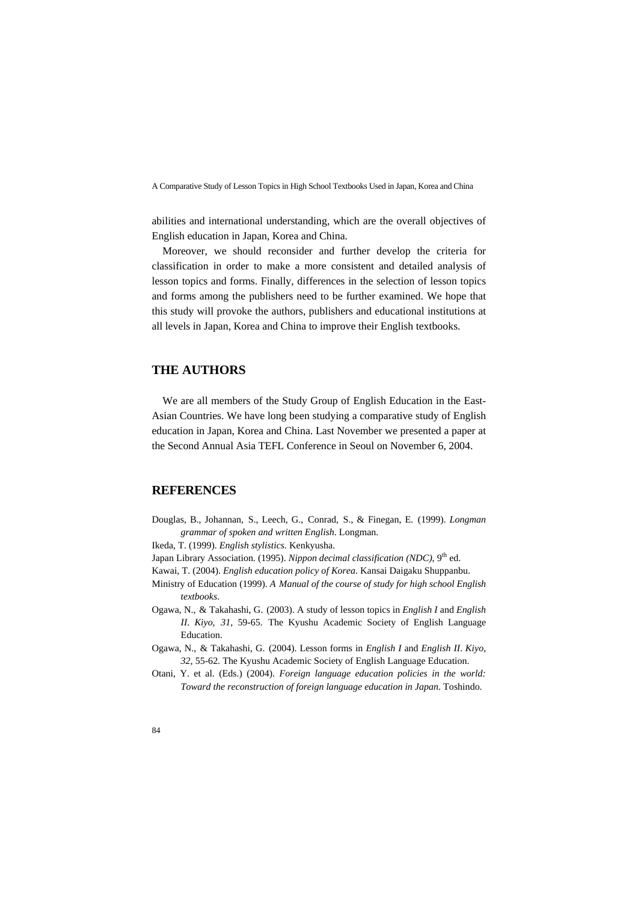abilities and international understanding, which are the overall objectives of English education in Japan, Korea and China.

Moreover, we should reconsider and further develop the criteria for classification in order to make a more consistent and detailed analysis of lesson topics and forms. Finally, differences in the selection of lesson topics and forms among the publishers need to be further examined. We hope that this study will provoke the authors, publishers and educational institutions at all levels in Japan, Korea and China to improve their English textbooks.

## **THE AUTHORS**

We are all members of the Study Group of English Education in the East-Asian Countries. We have long been studying a comparative study of English education in Japan, Korea and China. Last November we presented a paper at the Second Annual Asia TEFL Conference in Seoul on November 6, 2004.

## **REFERENCES**

- Douglas, B., Johannan, S., Leech, G., Conrad, S., & Finegan, E. (1999). *Longman grammar of spoken and written English*. Longman.
- Ikeda, T. (1999). *English stylistics*. Kenkyusha.
- Japan Library Association. (1995). *Nippon decimal classification (NDC)*, 9<sup>th</sup> ed.
- Kawai, T. (2004). *English education policy of Korea*. Kansai Daigaku Shuppanbu.
- Ministry of Education (1999). *A Manual of the course of study for high school English textbooks*.
- Ogawa, N., & Takahashi, G. (2003). A study of lesson topics in *English I* and *English II*. *Kiyo, 31*, 59-65. The Kyushu Academic Society of English Language Education.
- Ogawa, N., & Takahashi, G. (2004). Lesson forms in *English I* and *English II*. *Kiyo, 32*, 55-62. The Kyushu Academic Society of English Language Education.
- Otani, Y. et al. (Eds.) (2004). *Foreign language education policies in the world: Toward the reconstruction of foreign language education in Japan*. Toshindo.